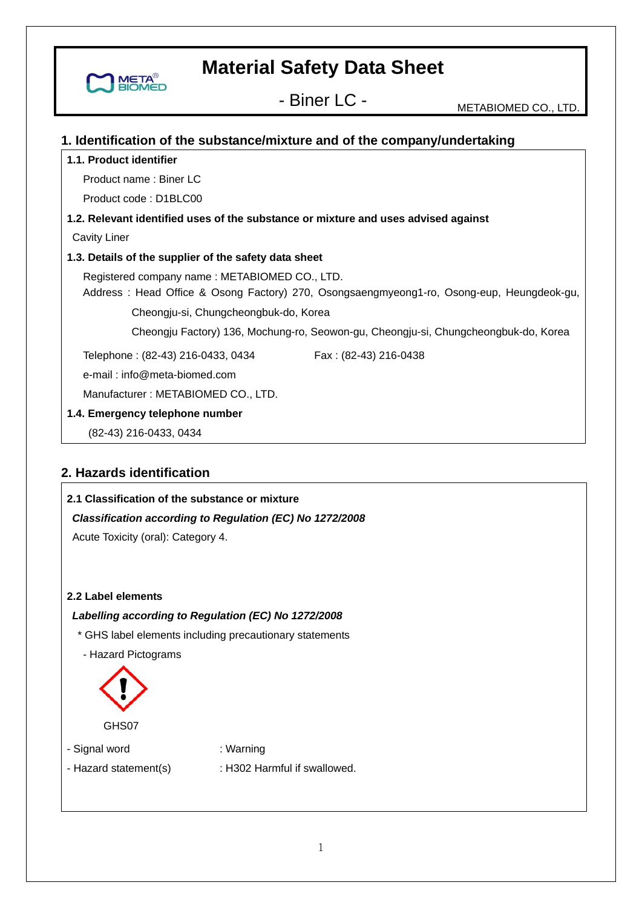- Biner LC - METABIOMED CO., LTD.

### **1. Identification of the substance/mixture and of the company/undertaking**

#### **1.1. Product identifier**

**META** 

Product name : Biner LC

Product code : D1BLC00

### **1.2. Relevant identified uses of the substance or mixture and uses advised against**

Cavity Liner

#### **1.3. Details of the supplier of the safety data sheet**

Registered company name : METABIOMED CO., LTD.

Address : Head Office & Osong Factory) 270, Osongsaengmyeong1-ro, Osong-eup, Heungdeok-gu,

Cheongju-si, Chungcheongbuk-do, Korea

Cheongju Factory) 136, Mochung-ro, Seowon-gu, Cheongju-si, Chungcheongbuk-do, Korea

Telephone: (82-43) 216-0433, 0434 Fax: (82-43) 216-0438

e-mail : info@meta-biomed.com

Manufacturer : METABIOMED CO., LTD.

#### **1.4. Emergency telephone number**

(82-43) 216-0433, 0434

# **2. Hazards identification**

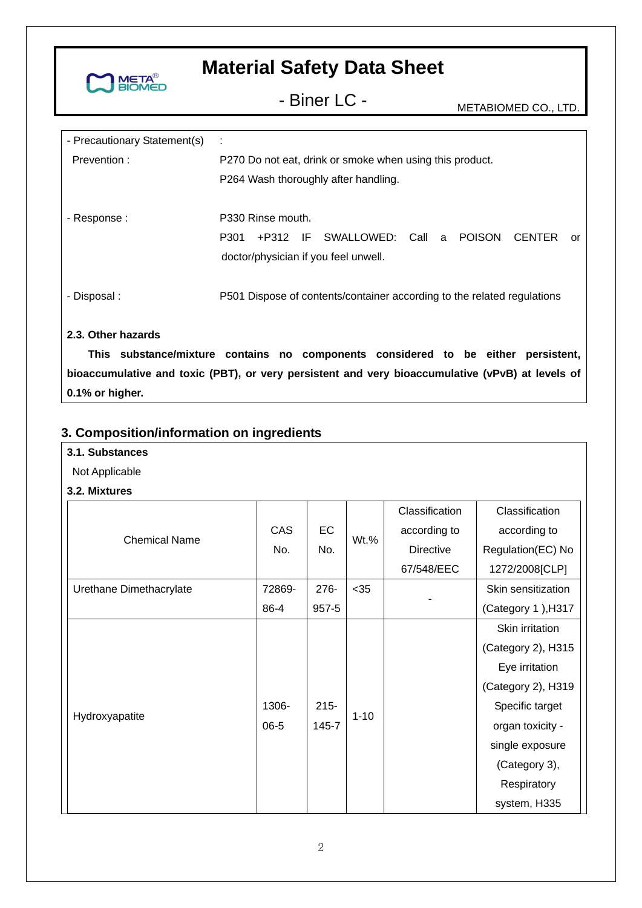

- Biner LC - METABIOMED CO., LTD.

| - Precautionary Statement(s) | ÷                                                                          |  |  |
|------------------------------|----------------------------------------------------------------------------|--|--|
| Prevention:                  | P270 Do not eat, drink or smoke when using this product.                   |  |  |
|                              | P264 Wash thoroughly after handling.                                       |  |  |
|                              |                                                                            |  |  |
| - Response :                 | P330 Rinse mouth.                                                          |  |  |
|                              | +P312 IF SWALLOWED: Call a<br><b>POISON</b><br>P301<br><b>CENTER</b><br>or |  |  |
|                              | doctor/physician if you feel unwell.                                       |  |  |
|                              |                                                                            |  |  |
| - Disposal :                 | P501 Dispose of contents/container according to the related regulations    |  |  |
|                              |                                                                            |  |  |
| 2.3. Other hazards           |                                                                            |  |  |

**This substance/mixture contains no components considered to be either persistent, bioaccumulative and toxic (PBT), or very persistent and very bioaccumulative (vPvB) at levels of 0.1% or higher.** 

# **3. Composition/information on ingredients**

| 3.1. Substances |  |
|-----------------|--|
|-----------------|--|

- Not Applicable
- **3.2. Mixtures**

|                         |            |           |          | Classification   | Classification     |
|-------------------------|------------|-----------|----------|------------------|--------------------|
| <b>Chemical Name</b>    | <b>CAS</b> | EC        | $Wt.\%$  | according to     | according to       |
|                         | No.        | No.       |          | <b>Directive</b> | Regulation(EC) No  |
|                         |            |           |          | 67/548/EEC       | 1272/2008[CLP]     |
| Urethane Dimethacrylate | 72869-     | $276 -$   | $35$     |                  | Skin sensitization |
|                         | 86-4       | $957 - 5$ |          |                  | (Category 1), H317 |
|                         |            |           |          |                  | Skin irritation    |
|                         |            |           |          |                  | (Category 2), H315 |
|                         |            |           |          |                  | Eye irritation     |
|                         |            |           |          |                  | (Category 2), H319 |
| Hydroxyapatite          | 1306-      | $215 -$   | $1 - 10$ |                  | Specific target    |
|                         | $06 - 5$   | 145-7     |          |                  | organ toxicity -   |
|                         |            |           |          |                  | single exposure    |
|                         |            |           |          |                  | (Category 3),      |
|                         |            |           |          |                  | Respiratory        |
|                         |            |           |          |                  | system, H335       |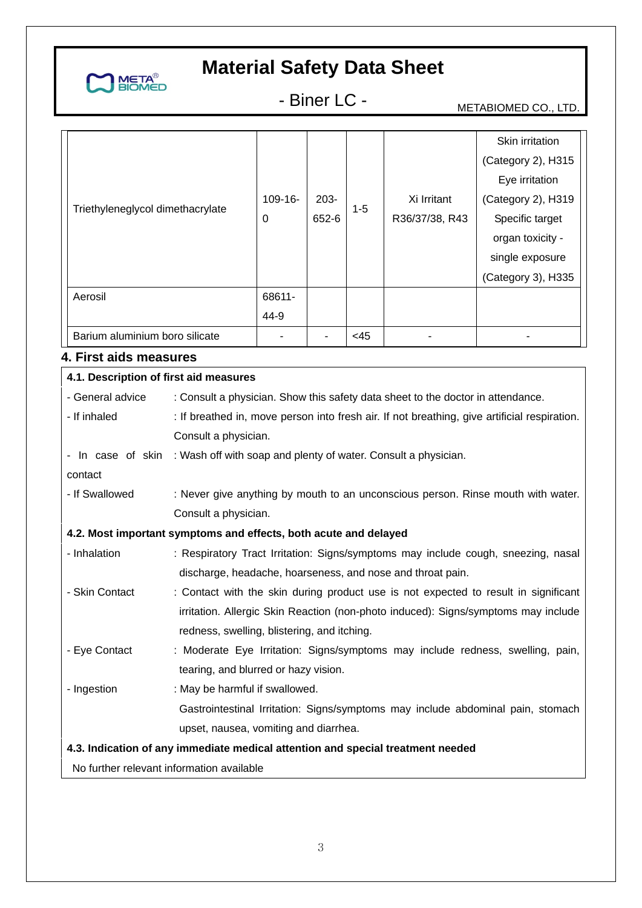

- Biner LC - METABIOMED CO., LTD.

|                                  |           |         |         |                | Skin irritation    |
|----------------------------------|-----------|---------|---------|----------------|--------------------|
|                                  |           |         |         |                | (Category 2), H315 |
|                                  |           |         |         |                | Eye irritation     |
|                                  | $109-16-$ | $203 -$ |         | Xi Irritant    | (Category 2), H319 |
| Triethyleneglycol dimethacrylate | 0         | 652-6   | $1 - 5$ | R36/37/38, R43 | Specific target    |
|                                  |           |         |         |                | organ toxicity -   |
|                                  |           |         |         |                | single exposure    |
|                                  |           |         |         |                | (Category 3), H335 |
| Aerosil                          | 68611-    |         |         |                |                    |
|                                  | 44-9      |         |         |                |                    |
| Barium aluminium boro silicate   |           |         | $<$ 45  |                |                    |

# **4. First aids measures**

| 4.1. Description of first aid measures                                          |                                                                                              |  |  |  |
|---------------------------------------------------------------------------------|----------------------------------------------------------------------------------------------|--|--|--|
| - General advice                                                                | : Consult a physician. Show this safety data sheet to the doctor in attendance.              |  |  |  |
| - If inhaled                                                                    | : If breathed in, move person into fresh air. If not breathing, give artificial respiration. |  |  |  |
|                                                                                 | Consult a physician.                                                                         |  |  |  |
| - In case of skin                                                               | : Wash off with soap and plenty of water. Consult a physician.                               |  |  |  |
| contact                                                                         |                                                                                              |  |  |  |
| - If Swallowed                                                                  | : Never give anything by mouth to an unconscious person. Rinse mouth with water.             |  |  |  |
|                                                                                 | Consult a physician.                                                                         |  |  |  |
|                                                                                 | 4.2. Most important symptoms and effects, both acute and delayed                             |  |  |  |
| - Inhalation                                                                    | : Respiratory Tract Irritation: Signs/symptoms may include cough, sneezing, nasal            |  |  |  |
|                                                                                 | discharge, headache, hoarseness, and nose and throat pain.                                   |  |  |  |
| - Skin Contact                                                                  | : Contact with the skin during product use is not expected to result in significant          |  |  |  |
|                                                                                 | irritation. Allergic Skin Reaction (non-photo induced): Signs/symptoms may include           |  |  |  |
|                                                                                 | redness, swelling, blistering, and itching.                                                  |  |  |  |
| - Eye Contact                                                                   | : Moderate Eye Irritation: Signs/symptoms may include redness, swelling, pain,               |  |  |  |
|                                                                                 | tearing, and blurred or hazy vision.                                                         |  |  |  |
| - Ingestion                                                                     | : May be harmful if swallowed.                                                               |  |  |  |
|                                                                                 | Gastrointestinal Irritation: Signs/symptoms may include abdominal pain, stomach              |  |  |  |
|                                                                                 | upset, nausea, vomiting and diarrhea.                                                        |  |  |  |
| 4.3. Indication of any immediate medical attention and special treatment needed |                                                                                              |  |  |  |
| No further relevant information available                                       |                                                                                              |  |  |  |
|                                                                                 |                                                                                              |  |  |  |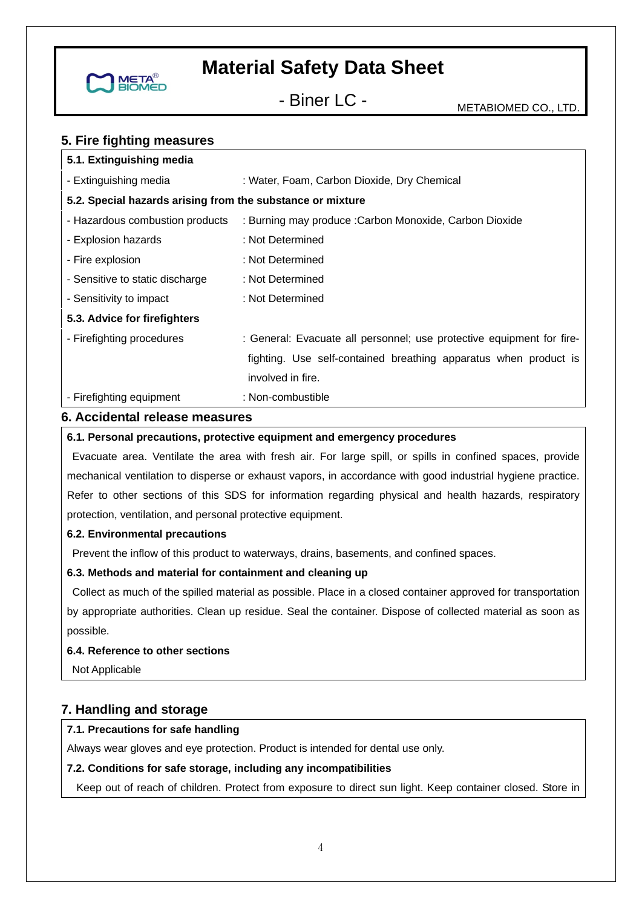

- Biner LC - METABIOMED CO., LTD.

# **5. Fire fighting measures**

| 5.1. Extinguishing media                                                              |                                                                       |
|---------------------------------------------------------------------------------------|-----------------------------------------------------------------------|
| - Extinguishing media                                                                 | : Water, Foam, Carbon Dioxide, Dry Chemical                           |
| 5.2. Special hazards arising from the substance or mixture                            |                                                                       |
| - Hazardous combustion products                                                       | : Burning may produce : Carbon Monoxide, Carbon Dioxide               |
| - Explosion hazards                                                                   | : Not Determined                                                      |
| - Fire explosion                                                                      | : Not Determined                                                      |
| - Sensitive to static discharge                                                       | : Not Determined                                                      |
| - Sensitivity to impact                                                               | : Not Determined                                                      |
| 5.3. Advice for firefighters                                                          |                                                                       |
| - Firefighting procedures                                                             | : General: Evacuate all personnel; use protective equipment for fire- |
|                                                                                       | fighting. Use self-contained breathing apparatus when product is      |
|                                                                                       | involved in fire.                                                     |
| - Firefighting equipment                                                              | : Non-combustible                                                     |
| $\alpha$ $\alpha$ $\alpha$ $\beta$ $\alpha$ $\beta$ $\alpha$ $\beta$ $\alpha$ $\beta$ |                                                                       |

#### **6. Accidental release measures**

#### **6.1. Personal precautions, protective equipment and emergency procedures**

 Evacuate area. Ventilate the area with fresh air. For large spill, or spills in confined spaces, provide mechanical ventilation to disperse or exhaust vapors, in accordance with good industrial hygiene practice. Refer to other sections of this SDS for information regarding physical and health hazards, respiratory protection, ventilation, and personal protective equipment.

#### **6.2. Environmental precautions**

Prevent the inflow of this product to waterways, drains, basements, and confined spaces.

### **6.3. Methods and material for containment and cleaning up**

 Collect as much of the spilled material as possible. Place in a closed container approved for transportation by appropriate authorities. Clean up residue. Seal the container. Dispose of collected material as soon as possible.

#### **6.4. Reference to other sections**

Not Applicable

# **7. Handling and storage**

### **7.1. Precautions for safe handling**

Always wear gloves and eye protection. Product is intended for dental use only.

### **7.2. Conditions for safe storage, including any incompatibilities**

Keep out of reach of children. Protect from exposure to direct sun light. Keep container closed. Store in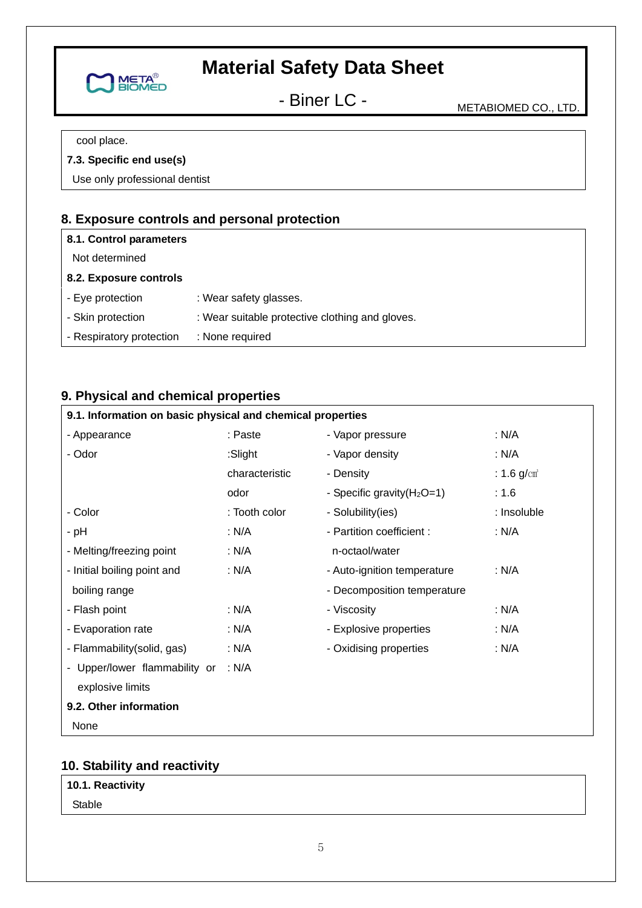

- Biner LC - METABIOMED CO., LTD.

cool place.

# **7.3. Specific end use(s)**

Use only professional dentist

# **8. Exposure controls and personal protection**

| 8.1. Control parameters  |                                                 |
|--------------------------|-------------------------------------------------|
| Not determined           |                                                 |
| 8.2. Exposure controls   |                                                 |
| - Eve protection         | : Wear safety glasses.                          |
| - Skin protection        | : Wear suitable protective clothing and gloves. |
| - Respiratory protection | : None required                                 |

# **9. Physical and chemical properties**

#### **9.1. Information on basic physical and chemical properties**  - Appearance - Odor - Color - pH - Melting/freezing point - Initial boiling point and boiling range - Flash point - Evaporation rate - Flammability(solid, gas) - Upper/lower flammability or : N/A explosive limits : Paste :Slight characteristic odor : Tooth color : N/A : N/A : N/A : N/A : N/A : N/A - Vapor pressure - Vapor density - Density - Specific gravity (H<sub>2</sub>O=1) - Solubility(ies) - Partition coefficient : n-octaol/water - Auto-ignition temperature - Decomposition temperature - Viscosity - Explosive properties - Oxidising properties : N/A : N/A :  $1.6 \text{ g/cm}^3$ : 1.6 : Insoluble : N/A : N/A : N/A : N/A : N/A **9.2. Other information**

None

# **10. Stability and reactivity**

**10.1. Reactivity** 

Stable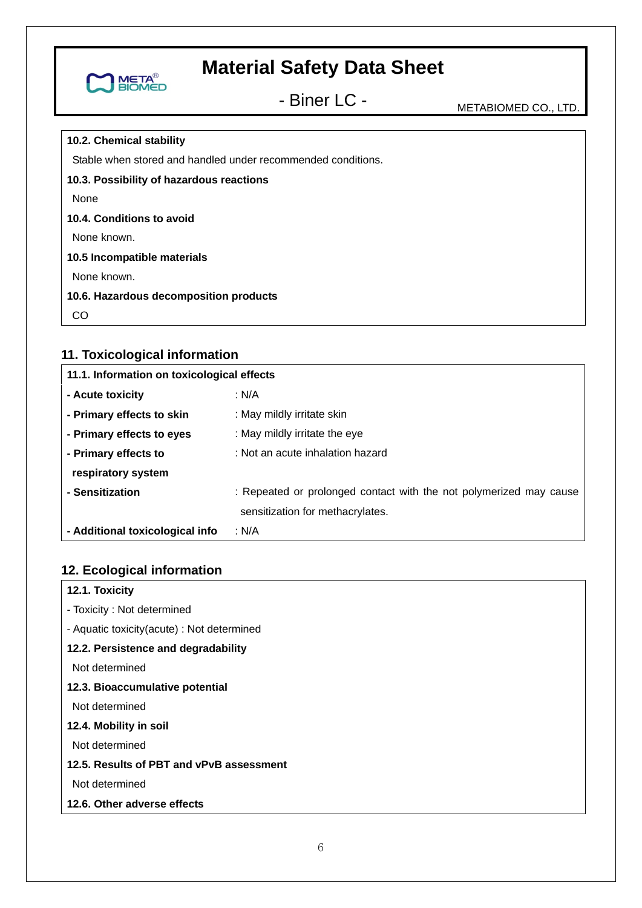

- Biner LC - METABIOMED CO., LTD.

#### **10.2. Chemical stability**

Stable when stored and handled under recommended conditions.

**10.3. Possibility of hazardous reactions** 

None

#### **10.4. Conditions to avoid**

None known.

### **10.5 Incompatible materials**

None known.

### **10.6. Hazardous decomposition products**

CO

# **11. Toxicological information**

| 11.1. Information on toxicological effects |                                                                    |  |  |  |
|--------------------------------------------|--------------------------------------------------------------------|--|--|--|
| - Acute toxicity                           | : $N/A$                                                            |  |  |  |
| - Primary effects to skin                  | : May mildly irritate skin                                         |  |  |  |
| - Primary effects to eyes                  | : May mildly irritate the eye                                      |  |  |  |
| - Primary effects to                       | : Not an acute inhalation hazard                                   |  |  |  |
| respiratory system                         |                                                                    |  |  |  |
| - Sensitization                            | : Repeated or prolonged contact with the not polymerized may cause |  |  |  |
|                                            | sensitization for methacrylates.                                   |  |  |  |
| - Additional toxicological info            | : N/A                                                              |  |  |  |

# **12. Ecological information**

| 12.1. Toxicity                             |
|--------------------------------------------|
| - Toxicity: Not determined                 |
| - Aquatic toxicity(acute) : Not determined |
| 12.2. Persistence and degradability        |
| Not determined                             |
| 12.3. Bioaccumulative potential            |
| Not determined                             |
| 12.4. Mobility in soil                     |
| Not determined                             |
| 12.5. Results of PBT and vPvB assessment   |
| Not determined                             |
| 12.6. Other adverse effects                |
|                                            |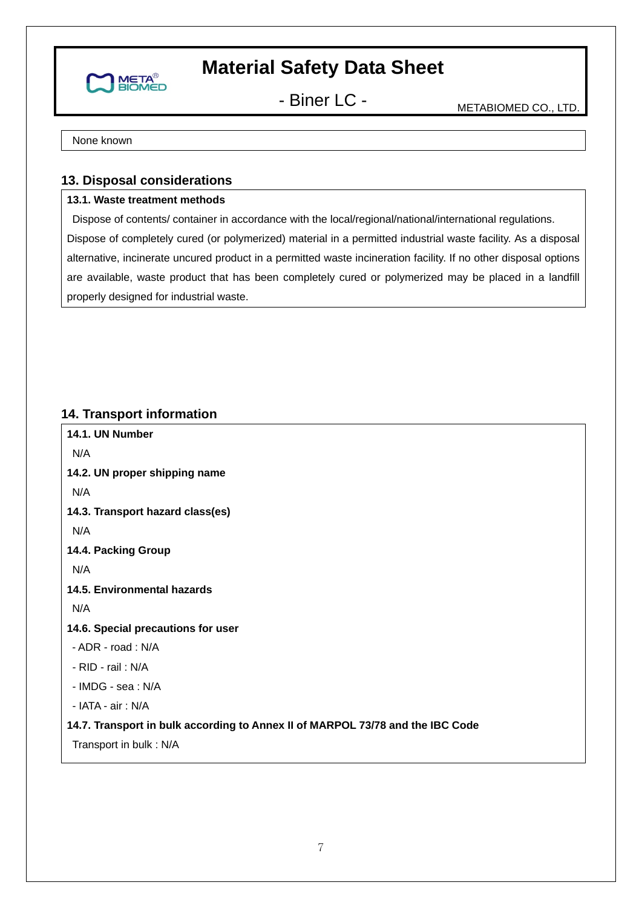

- Biner LC - METABIOMED CO., LTD.

None known

# **13. Disposal considerations**

# **13.1. Waste treatment methods**

 Dispose of contents/ container in accordance with the local/regional/national/international regulations. Dispose of completely cured (or polymerized) material in a permitted industrial waste facility. As a disposal alternative, incinerate uncured product in a permitted waste incineration facility. If no other disposal options are available, waste product that has been completely cured or polymerized may be placed in a landfill properly designed for industrial waste.

# **14. Transport information**

**14.1. UN Number**  N/A **14.2. UN proper shipping name**  N/A **14.3. Transport hazard class(es)**  N/A **14.4. Packing Group**  N/A **14.5. Environmental hazards**  N/A **14.6. Special precautions for user**  - ADR - road : N/A - RID - rail : N/A - IMDG - sea : N/A - IATA - air : N/A **14.7. Transport in bulk according to Annex II of MARPOL 73/78 and the IBC Code**  Transport in bulk : N/A